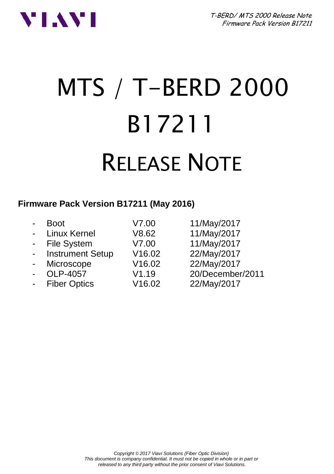T-BERD/ MTS 2000 Release Note Firmware Pack Version B17211



# MTS / T-BERD 2000 B17211 RELEASE NOTE

### **Firmware Pack Version B17211 (May 2016)**

| 11/May/2017<br>- Linux Kernel<br>V8.62<br>11/May/2017<br>- File System<br>V7.00<br>22/May/2017<br><b>Instrument Setup</b><br>V16.02<br>$\blacksquare$<br>22/May/2017<br>V16.02<br>Microscope<br>$\blacksquare$<br>OLP-4057<br>V1.19<br>$\overline{a}$<br>22/May/2017<br><b>Fiber Optics</b><br>V16.02<br>$\blacksquare$ | <b>Boot</b> | V7.00 | 11/May/2017      |
|-------------------------------------------------------------------------------------------------------------------------------------------------------------------------------------------------------------------------------------------------------------------------------------------------------------------------|-------------|-------|------------------|
|                                                                                                                                                                                                                                                                                                                         |             |       |                  |
|                                                                                                                                                                                                                                                                                                                         |             |       |                  |
|                                                                                                                                                                                                                                                                                                                         |             |       |                  |
|                                                                                                                                                                                                                                                                                                                         |             |       |                  |
|                                                                                                                                                                                                                                                                                                                         |             |       | 20/December/2011 |
|                                                                                                                                                                                                                                                                                                                         |             |       |                  |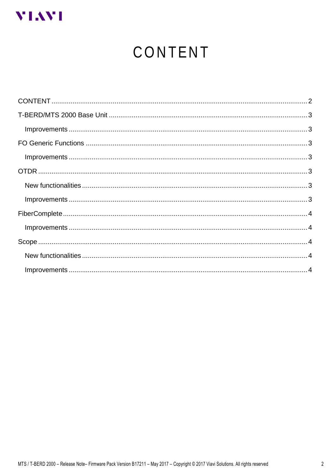<span id="page-1-0"></span>

# CONTENT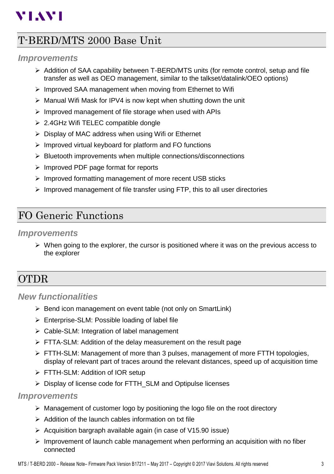# **VIAVI**

## <span id="page-2-0"></span>T-BERD/MTS 2000 Base Unit

#### <span id="page-2-1"></span>*Improvements*

- $\triangleright$  Addition of SAA capability between T-BERD/MTS units (for remote control, setup and file transfer as well as OEO management, similar to the talkset/datalink/OEO options)
- ➢ Improved SAA management when moving from Ethernet to Wifi
- ➢ Manual Wifi Mask for IPV4 is now kept when shutting down the unit
- ➢ Improved management of file storage when used with APIs
- ➢ 2.4GHz Wifi TELEC compatible dongle
- ➢ Display of MAC address when using Wifi or Ethernet
- ➢ Improved virtual keyboard for platform and FO functions
- ➢ Bluetooth improvements when multiple connections/disconnections
- ➢ Improved PDF page format for reports
- ➢ Improved formatting management of more recent USB sticks
- ➢ Improved management of file transfer using FTP, this to all user directories

## <span id="page-2-2"></span>FO Generic Functions

#### <span id="page-2-3"></span>*Improvements*

 $\triangleright$  When going to the explorer, the cursor is positioned where it was on the previous access to the explorer

## <span id="page-2-4"></span>OTDR

#### <span id="page-2-5"></span>*New functionalities*

- ➢ Bend icon management on event table (not only on SmartLink)
- ➢ Enterprise-SLM: Possible loading of label file
- $\triangleright$  Cable-SLM: Integration of label management
- ➢ FTTA-SLM: Addition of the delay measurement on the result page
- ➢ FTTH-SLM: Management of more than 3 pulses, management of more FTTH topologies, display of relevant part of traces around the relevant distances, speed up of acquisition time
- ➢ FTTH-SLM: Addition of IOR setup
- ➢ Display of license code for FTTH\_SLM and Optipulse licenses

#### <span id="page-2-6"></span>*Improvements*

- $\triangleright$  Management of customer logo by positioning the logo file on the root directory
- ➢ Addition of the launch cables information on txt file
- ➢ Acquisition bargraph available again (in case of V15.90 issue)
- $\triangleright$  Improvement of launch cable management when performing an acquisition with no fiber connected